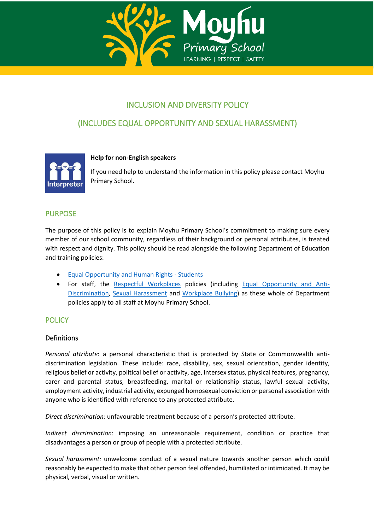

# INCLUSION AND DIVERSITY POLICY

# (INCLUDES EQUAL OPPORTUNITY AND SEXUAL HARASSMENT)



#### **Help for non-English speakers**

If you need help to understand the information in this policy please contact Moyhu Primary School.

## PURPOSE

The purpose of this policy is to explain Moyhu Primary School's commitment to making sure every member of our school community, regardless of their background or personal attributes, is treated with respect and dignity. This policy should be read alongside the following Department of Education and training policies:

- [Equal Opportunity and Human Rights -](https://www2.education.vic.gov.au/pal/equal-opportunity-human-rights-students/policy) Students
- For staff, the [Respectful Workplaces](https://www2.education.vic.gov.au/pal/respectful-workplaces/overview) policies (including [Equal Opportunity and Anti-](https://www2.education.vic.gov.au/pal/equal-opportunity/overview)[Discrimination,](https://www2.education.vic.gov.au/pal/equal-opportunity/overview) [Sexual Harassment](https://www2.education.vic.gov.au/pal/sexual-harassment/overview) and [Workplace Bullying\)](https://www2.education.vic.gov.au/pal/workplace-bullying/policy) as these whole of Department policies apply to all staff at Moyhu Primary School.

# **POLICY**

#### **Definitions**

*Personal attribute*: a personal characteristic that is protected by State or Commonwealth antidiscrimination legislation. These include: race, disability, sex, sexual orientation, gender identity, religious belief or activity, political belief or activity, age, intersex status, physical features, pregnancy, carer and parental status, breastfeeding, marital or relationship status, lawful sexual activity, employment activity, industrial activity, expunged homosexual conviction or personal association with anyone who is identified with reference to any protected attribute.

*Direct discrimination:* unfavourable treatment because of a person's protected attribute.

*Indirect discrimination*: imposing an unreasonable requirement, condition or practice that disadvantages a person or group of people with a protected attribute.

*Sexual harassment:* unwelcome conduct of a sexual nature towards another person which could reasonably be expected to make that other person feel offended, humiliated or intimidated. It may be physical, verbal, visual or written.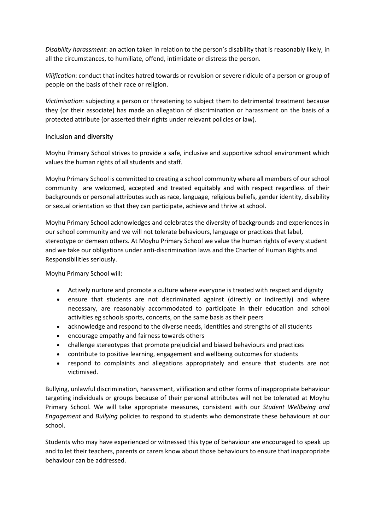*Disability harassment*: an action taken in relation to the person's disability that is reasonably likely, in all the circumstances, to humiliate, offend, intimidate or distress the person.

*Vilification*: conduct that incites hatred towards or revulsion or severe ridicule of a person or group of people on the basis of their race or religion.

*Victimisation*: subjecting a person or threatening to subject them to detrimental treatment because they (or their associate) has made an allegation of discrimination or harassment on the basis of a protected attribute (or asserted their rights under relevant policies or law).

#### Inclusion and diversity

Moyhu Primary School strives to provide a safe, inclusive and supportive school environment which values the human rights of all students and staff.

Moyhu Primary School is committed to creating a school community where all members of our school community are welcomed, accepted and treated equitably and with respect regardless of their backgrounds or personal attributes such as race, language, religious beliefs, gender identity, disability or sexual orientation so that they can participate, achieve and thrive at school.

Moyhu Primary School acknowledges and celebrates the diversity of backgrounds and experiences in our school community and we will not tolerate behaviours, language or practices that label, stereotype or demean others. At Moyhu Primary School we value the human rights of every student and we take our obligations under anti-discrimination laws and the Charter of Human Rights and Responsibilities seriously.

Moyhu Primary School will:

- Actively nurture and promote a culture where everyone is treated with respect and dignity
- ensure that students are not discriminated against (directly or indirectly) and where necessary, are reasonably accommodated to participate in their education and school activities eg schools sports, concerts, on the same basis as their peers
- acknowledge and respond to the diverse needs, identities and strengths of all students
- encourage empathy and fairness towards others
- challenge stereotypes that promote prejudicial and biased behaviours and practices
- contribute to positive learning, engagement and wellbeing outcomes for students
- respond to complaints and allegations appropriately and ensure that students are not victimised.

Bullying, unlawful discrimination, harassment, vilification and other forms of inappropriate behaviour targeting individuals or groups because of their personal attributes will not be tolerated at Moyhu Primary School. We will take appropriate measures, consistent with our *Student Wellbeing and Engagement* and *Bullying* policies to respond to students who demonstrate these behaviours at our school.

Students who may have experienced or witnessed this type of behaviour are encouraged to speak up and to let their teachers, parents or carers know about those behaviours to ensure that inappropriate behaviour can be addressed.